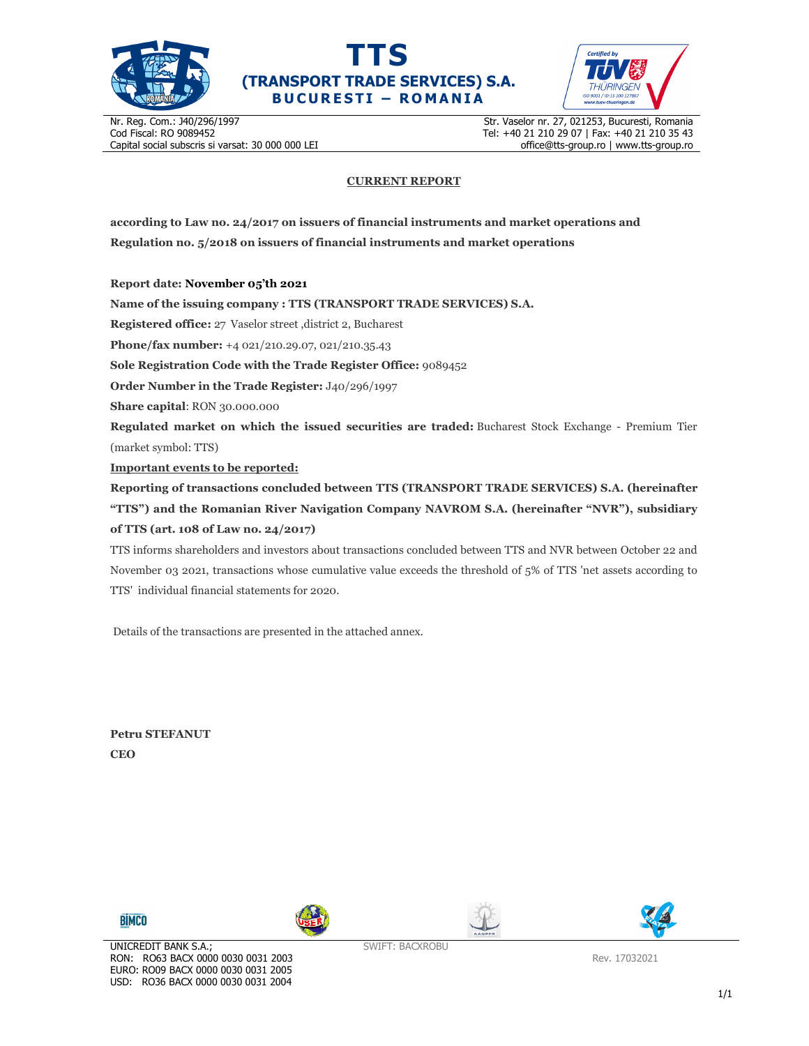





Nr. Reg. Com.: J40/296/1997 Cod Fiscal: RO 9089452 Capital social subscris si varsat: 30 000 000 LEI Str. Vaselor nr. 27, 021253, Bucuresti, Romania Tel: +40 21 210 29 07 | Fax: +40 21 210 35 43 office@tts-group.ro | www.tts-group.ro

## **CURRENT REPORT**

**according to Law no. 24/2017 on issuers of financial instruments and market operations and Regulation no. 5/2018 on issuers of financial instruments and market operations** 

**Report date: November 05'th 2021**

**Name of the issuing company : TTS (TRANSPORT TRADE SERVICES) S.A.**

**Registered office:** 27 Vaselor street ,district 2, Bucharest

**Phone/fax number:** +4 021/210.29.07, 021/210.35.43

**Sole Registration Code with the Trade Register Office:** 9089452

**Order Number in the Trade Register:** J40/296/1997

**Share capital**: RON 30.000.000

**Regulated market on which the issued securities are traded:** Bucharest Stock Exchange - Premium Tier (market symbol: TTS)

**Important events to be reported:**

**Reporting of transactions concluded between TTS (TRANSPORT TRADE SERVICES) S.A. (hereinafter "TTS") and the Romanian River Navigation Company NAVROM S.A. (hereinafter "NVR"), subsidiary of TTS (art. 108 of Law no. 24/2017)** 

TTS informs shareholders and investors about transactions concluded between TTS and NVR between October 22 and November 03 2021, transactions whose cumulative value exceeds the threshold of 5% of TTS 'net assets according to TTS' individual financial statements for 2020.

Details of the transactions are presented in the attached annex.

**Petru STEFANUT CEO** 









SWIFT: BACXROBU

Rev. 17032021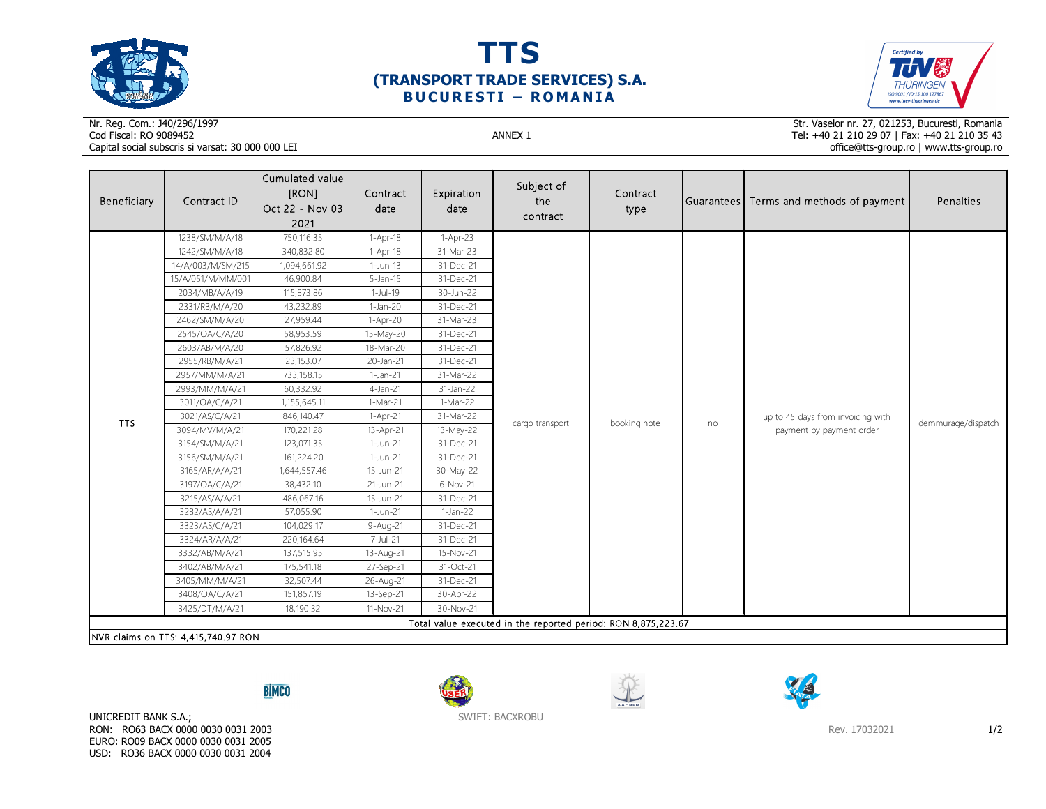





## Nr. Reg. Com.: J40/296/1997Cod Fiscal: RO 9089452 ANNEX 1 Capital social subscris si varsat: 30 000 000 LEI

Str. Vaselor nr. 27, 021253, Bucuresti, Romania Tel: +40 21 210 29 07 | Fax: +40 21 210 35 43 office@tts-group.ro | www.tts-group.ro

| Beneficiary                                                   | Contract ID       | Cumulated value<br>[RON]<br>Oct 22 - Nov 03<br>2021 | Contract<br>date | Expiration<br>date | Subject of<br>the<br>contract | Contract<br>type |    | Guarantees Terms and methods of payment                       | Penalties          |  |
|---------------------------------------------------------------|-------------------|-----------------------------------------------------|------------------|--------------------|-------------------------------|------------------|----|---------------------------------------------------------------|--------------------|--|
|                                                               | 1238/SM/M/A/18    | 750,116.35                                          | 1-Apr-18         | 1-Apr-23           |                               |                  | no | up to 45 days from invoicing with<br>payment by payment order | demmurage/dispatch |  |
|                                                               | 1242/SM/M/A/18    | 340,832.80                                          | $1-Apr-18$       | 31-Mar-23          |                               |                  |    |                                                               |                    |  |
|                                                               | 14/A/003/M/SM/215 | 1,094,661.92                                        | $1-Jun-13$       | 31-Dec-21          |                               |                  |    |                                                               |                    |  |
|                                                               | 15/A/051/M/MM/001 | 46,900.84                                           | $5 - Jan - 15$   | 31-Dec-21          |                               |                  |    |                                                               |                    |  |
|                                                               | 2034/MB/A/A/19    | 115,873.86                                          | 1-Jul-19         | 30-Jun-22          |                               |                  |    |                                                               |                    |  |
|                                                               | 2331/RB/M/A/20    | 43,232.89                                           | $1-Jan-20$       | 31-Dec-21          |                               |                  |    |                                                               |                    |  |
|                                                               | 2462/SM/M/A/20    | 27,959.44                                           | $1-Apr-20$       | 31-Mar-23          |                               |                  |    |                                                               |                    |  |
|                                                               | 2545/OA/C/A/20    | 58,953.59                                           | 15-May-20        | 31-Dec-21          |                               |                  |    |                                                               |                    |  |
|                                                               | 2603/AB/M/A/20    | 57,826.92                                           | 18-Mar-20        | 31-Dec-21          |                               |                  |    |                                                               |                    |  |
|                                                               | 2955/RB/M/A/21    | 23,153.07                                           | 20-Jan-21        | 31-Dec-21          |                               |                  |    |                                                               |                    |  |
|                                                               | 2957/MM/M/A/21    | 733,158.15                                          | 1-Jan-21         | 31-Mar-22          |                               |                  |    |                                                               |                    |  |
|                                                               | 2993/MM/M/A/21    | 60,332.92                                           | $4$ -Jan-21      | 31-Jan-22          | cargo transport               |                  |    |                                                               |                    |  |
| <b>TTS</b>                                                    | 3011/OA/C/A/21    | 1,155,645.11                                        | $1-Mar-21$       | 1-Mar-22           |                               | booking note     |    |                                                               |                    |  |
|                                                               | 3021/AS/C/A/21    | 846,140.47                                          | 1-Apr-21         | 31-Mar-22          |                               |                  |    |                                                               |                    |  |
|                                                               | 3094/MV/M/A/21    | 170,221.28                                          | 13-Apr-21        | 13-May-22          |                               |                  |    |                                                               |                    |  |
|                                                               | 3154/SM/M/A/21    | 123,071.35                                          | $1-Jun-21$       | 31-Dec-21          |                               |                  |    |                                                               |                    |  |
|                                                               | 3156/SM/M/A/21    | 161,224.20                                          | 1-Jun-21         | 31-Dec-21          |                               |                  |    |                                                               |                    |  |
|                                                               | 3165/AR/A/A/21    | 1,644,557.46                                        | 15-Jun-21        | 30-May-22          |                               |                  |    |                                                               |                    |  |
|                                                               | 3197/OA/C/A/21    | 38,432.10                                           | 21-Jun-21        | $6-Nov-21$         |                               |                  |    |                                                               |                    |  |
|                                                               | 3215/AS/A/A/21    | 486,067.16                                          | 15-Jun-21        | 31-Dec-21          |                               |                  |    |                                                               |                    |  |
|                                                               | 3282/AS/A/A/21    | 57,055.90                                           | 1-Jun-21         | $1-Jan-22$         |                               |                  |    |                                                               |                    |  |
|                                                               | 3323/AS/C/A/21    | 104,029.17                                          | 9-Aug-21         | 31-Dec-21          |                               |                  |    |                                                               |                    |  |
|                                                               | 3324/AR/A/A/21    | 220,164.64                                          | 7-Jul-21         | 31-Dec-21          |                               |                  |    |                                                               |                    |  |
|                                                               | 3332/AB/M/A/21    | 137,515.95                                          | 13-Aug-21        | 15-Nov-21          |                               |                  |    |                                                               |                    |  |
|                                                               | 3402/AB/M/A/21    | 175,541.18                                          | 27-Sep-21        | 31-Oct-21          |                               |                  |    |                                                               |                    |  |
|                                                               | 3405/MM/M/A/21    | 32,507.44                                           | 26-Aug-21        | 31-Dec-21          |                               |                  |    |                                                               |                    |  |
|                                                               | 3408/OA/C/A/21    | 151,857.19                                          | 13-Sep-21        | 30-Apr-22          |                               |                  |    |                                                               |                    |  |
|                                                               | 3425/DT/M/A/21    | 18,190.32                                           | 11-Nov-21        | 30-Nov-21          |                               |                  |    |                                                               |                    |  |
| Total value executed in the reported period: RON 8,875,223.67 |                   |                                                     |                  |                    |                               |                  |    |                                                               |                    |  |
| NVR claims on TTS: 4,415,740.97 RON                           |                   |                                                     |                  |                    |                               |                  |    |                                                               |                    |  |

**BİMCO** 







UNICREDIT BANK S.A.; RON: RO63 BACX 0000 0030 0031 2003 EURO: RO09 BACX 0000 0030 0031 2005 USD: RO36 BACX 0000 0030 0031 2004

SWIFT: BACXROBU